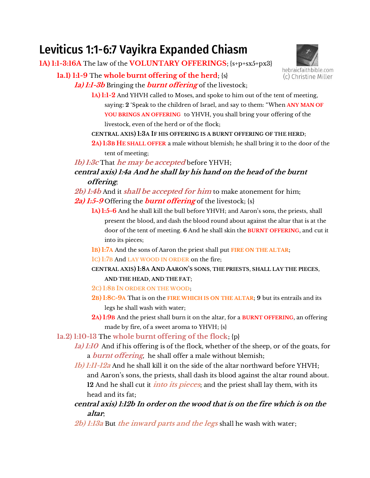# Leviticus 1:1-6:7 Vayikra Expanded Chiasm

**1A) 1:1-3:16A** The law of the **VOLUNTARY OFFERINGS**; {s+p+sx5+px3}

**1a.1) 1:1-9** The **whole burnt offering of the herd**; {s} **1a) 1:1-3b** Bringing the **burnt offering** of the livestock;



**1A) 1:1-2** And YHVH called to Moses, and spoke to him out of the tent of meeting, saying: **2** 'Speak to the children of Israel, and say to them: "When **ANY MAN OF YOU BRINGS AN OFFERING** to YHVH, you shall bring your offering of the livestock, even of the herd or of the flock;

## **CENTRAL AXIS) 1:3A IF HIS OFFERING IS A BURNT OFFERING OF THE HERD**;

**2A) 1:3B HE SHALL OFFER** a male without blemish; he shall bring it to the door of the tent of meeting;

**1b) 1:3c** That **he may be accepted** before YHVH;

**central axis) 1:4a And he shall lay his hand on the head of the burnt offering**;

**2b) 1:4b** And it **shall be accepted for him** to make atonement for him; **2a) 1:5-9** Offering the **burnt offering** of the livestock; {s}

- **1A**) **1:5-6** And he shall kill the bull before YHVH; and Aaron's sons, the priests, shall present the blood, and dash the blood round about against the altar that is at the door of the tent of meeting. **6** And he shall skin the **BURNT OFFERING**, and cut it into its pieces;
- **1B) 1:7A** And the sons of Aaron the priest shall put **FIRE ON THE ALTAR**;
- **1C) 1:7B** And **LAY WOOD IN ORDER** on the fire;
- **CENTRAL AXIS) 1:8A AND AARON'S SONS**, **THE PRIESTS**, **SHALL LAY THE PIECES**, **AND THE HEAD**, **AND THE FAT**;
- **2C) 1:8B IN ORDER ON THE WOOD**;
- **2B) 1:8C-9A** That is on the **FIRE WHICH IS ON THE ALTAR**; **9** but its entrails and its legs he shall wash with water;
- **2A) 1:9B** And the priest shall burn it on the altar, for a **BURNT OFFERING**, an offering made by fire, of a sweet aroma to YHVH; {s}
- **1a.2) 1:10-13** The **whole burnt offering of the flock**; {p}
	- **1a) 1:10** And if his offering is of the flock, whether of the sheep, or of the goats, for a **burnt offering**, he shall offer a male without blemish;
	- **1b) 1:11-12a** And he shall kill it on the side of the altar northward before YHVH; and Aaron's sons, the priests, shall dash its blood against the altar round about. **12** And he shall cut it **into its pieces**; and the priest shall lay them, with its head and its fat;
	- **central axis) 1:12b In order on the wood that is on the fire which is on the altar**;
	- **2b) 1:13a** But **the inward parts and the legs** shall he wash with water;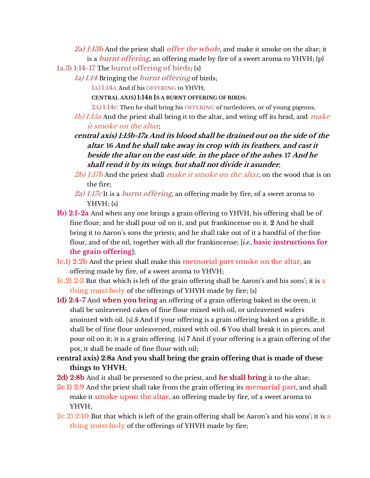**2a) 1:13b** And the priest shall **offer the whole**, and make it smoke on the altar; it is a **burnt offering**, an offering made by fire of a sweet aroma to YHVH; {p}

- **1a.3) 1:14-17** The **burnt offering of birds**; {s}
	- **1a) 1:14** Bringing the **burnt offering** of birds;

**1A) 1:14A** And if his **OFFERING** to YHVH;

**CENTRAL AXIS) 1:14B IS A BURNT OFFERING OF BIRDS**;

**2A) 1:14C** Then he shall bring his **OFFERING** of turtledoves, or of young pigeons;

- **1b) 1:15a** And the priest shall bring it to the altar, and wring off its head, and **make it smoke on the altar**;
- **central axis) 1:15b-17a And its blood shall be drained out on the side of the altar**. **16 And he shall take away its crop with its feathers**, **and cast it beside the altar on the east side**, **in the place of the ashes**. **17 And he shall rend it by its wings**, **but shall not divide it asunder**;
- **2b) 1:17b** And the priest shall **make it smoke on the altar**, on the wood that is on the fire;
- **2a) 1:17c** It is a **burnt offering**, an offering made by fire, of a sweet aroma to  $YHVH$ ;  $\{s\}$
- **1b) 2:1-2a** And when any one brings a grain offering to YHVH, his offering shall be of fine flour; and he shall pour oil on it, and put frankincense on it. **2** And he shall bring it to Aaron's sons the priests; and he shall take out of it a handful of the fine flour, and of the oil, together with all the frankincense; [*i.e.*, **basic instructions for the grain offering**];
- **1c.1) 2:2b** And the priest shall make this **memorial part smoke on the altar**, an offering made by fire, of a sweet aroma to YHVH;
- **1c.2) 2:3** But that which is left of the grain offering shall be Aaron's and his sons'; it is a **thing most holy** of the offerings of YHVH made by fire; {s}
- **1d) 2:4-7** And **when you bring** an offering of a grain offering baked in the oven, it shall be unleavened cakes of fine flour mixed with oil, or unleavened wafers anointed with oil. {s} **5** And if your offering is a grain offering baked on a griddle, it shall be of fine flour unleavened, mixed with oil. **6** You shall break it in pieces, and pour oil on it; it is a grain offering. {s} **7** And if your offering is a grain offering of the pot, it shall be made of fine flour with oil;
- **central axis) 2:8a And you shall bring the grain offering that is made of these things to YHVH**;
- **2d) 2:8b** And it shall be presented to the priest, and **he shall bring** it to the altar;
- **2c.1) 2:9** And the priest shall take from the grain offering its **memorial part**, and shall make it **smoke upon the altar**, an offering made by fire, of a sweet aroma to YHVH;
- **2c.2) 2:10** But that which is left of the grain offering shall be Aaron's and his sons'; it is a **thing most holy** of the offerings of YHVH made by fire;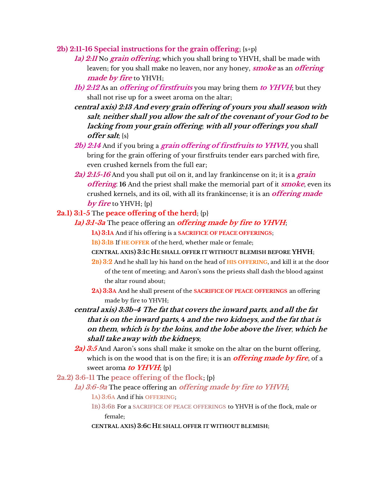- **2b) 2:11-16 Special instructions for the grain offering**; {s+p}
	- **1a) 2:11** No **grain offering**, which you shall bring to YHVH, shall be made with leaven; for you shall make no leaven, nor any honey, **smoke** as an **offering made by fire** to YHVH;
	- **1b) 2:12** As an **offering of firstfruits** you may bring them **to YHVH**; but they shall not rise up for a sweet aroma on the altar;
	- **central axis) 2:13 And every grain offering of yours you shall season with salt**; **neither shall you allow the salt of the covenant of your God to be lacking from your grain offering**; **with all your offerings you shall offer salt**; {s}
	- **2b) 2:14** And if you bring a **grain offering of firstfruits to YHVH**, you shall bring for the grain offering of your firstfruits tender ears parched with fire, even crushed kernels from the full ear;
	- **2a) 2:15-16** And you shall put oil on it, and lay frankincense on it; it is a **grain offering**. **16** And the priest shall make the memorial part of it **smoke**, even its crushed kernels, and its oil, with all its frankincense; it is an **offering made**  *by fire* to YHVH; {p}

### **2a.1) 3:1-5** The **peace offering of the herd**; {p}

- **1a) 3:1-3a** The peace offering an **offering made by fire to YHVH**;
	- **1A) 3:1A** And if his offering is a **SACRIFICE OF PEACE OFFERINGS**;
	- **1B) 3:1B** If **HE OFFER** of the herd, whether male or female;
	- **CENTRAL AXIS) 3:1C HE SHALL OFFER IT WITHOUT BLEMISH BEFORE YHVH**;
	- **2B) 3:2** And he shall lay his hand on the head of **HIS OFFERING**, and kill it at the door of the tent of meeting; and Aaron's sons the priests shall dash the blood against the altar round about;
	- **2A) 3:3A** And he shall present of the **SACRIFICE OF PEACE OFFERINGS** an offering made by fire to YHVH;
- **central axis) 3:3b-4 The fat that covers the inward parts**, **and all the fat that is on the inward parts**, **4 and the two kidneys**, **and the fat that is on them**, **which is by the loins**, **and the lobe above the liver**, **which he shall take away with the kidneys**;
- 2a) 3:5 And Aaron's sons shall make it smoke on the altar on the burnt offering, which is on the wood that is on the fire; it is an **offering made by fire**, of a sweet aroma **to YHVH**; {p}
- **2a.2) 3:6-11** The **peace offering of the flock**; {p}
	- **1a) 3:6-9a** The peace offering an **offering made by fire to YHVH**;
		- **1A) 3:6A** And if his **OFFERING**;
		- **1B) 3:6B** For a **SACRIFICE OF PEACE OFFERINGS** to YHVH is of the flock, male or female;
		- **CENTRAL AXIS) 3:6C HE SHALL OFFER IT WITHOUT BLEMISH**;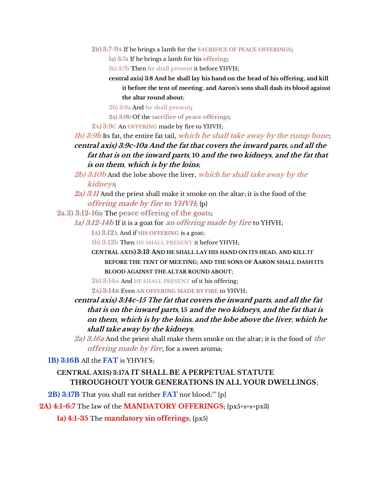**2B) 3:7-9A** If he brings a lamb for the **SACRIFICE OF PEACE OFFERINGS**;

**1a) 3:7a** If he brings a lamb for his **offering**;

**1b) 3:7b T**hen **he shall present** it before YHVH;

**central axis) 3:8 And he shall lay his hand on the head of his offering**, **and kill it before the tent of meeting**; **and Aaron's sons shall dash its blood against the altar round about**;

**2b) 3:9a** And **he shall present**;

**2a) 3:9b** Of the **sacrifice of peace offerings**;

**2A) 3:9C** An **OFFERING** made by fire to YHVH;

**1b) 3:9b** Its fat, the entire fat tail, **which he shall take away by the rump bone**; **central axis) 3:9c-10a And the fat that covers the inward parts**, a**nd all the fat that is on the inward parts**, **10 and the two kidneys**, **and the fat that is on them**, **which is by the loins**;

**2b) 3:10b** And the lobe above the liver, **which he shall take away by the kidneys**;

**2a) 3:11** And the priest shall make it smoke on the altar; it is the food of the **offering made by fire to YHVH**; {p}

**2a.3) 3:12-16a** The **peace offering of the goats**;

**1a) 3:12-14b** If it is a goat for **an offering made by fire** to YHVH;

**1A) 3:12A** And if **HIS OFFERING** is a goat;

**1b) 3:12b** Then **HE SHALL PRESENT** it before YHVH;

**CENTRAL AXIS) 3:13 AND HE SHALL LAY HIS HAND ON ITS HEAD**, **AND KILL IT BEFORE THE TENT OF MEETING**; **AND THE SONS OF AARON SHALL DASH ITS BLOOD AGAINST THE ALTAR ROUND ABOUT**;

**2B) 3:14A** And **HE SHALL PRESENT** of it his offering;

**2A) 3:14B** Even **AN OFFERING MADE BY FIRE** to YHVH;

**central axis) 3:14c-15 The fat that covers the inward parts**, **and all the fat that is on the inward parts**, **15 and the two kidneys**, **and the fat that is on them**, **which is by the loins**, **and the lobe above the liver**, **which he shall take away by the kidneys**;

**2a) 3:16a** And the priest shall make them smoke on the altar; it is the food of **the offering made by fire**, for a sweet aroma;

**1B) 3:16B** All the **FAT** is YHVH'S;

## **CENTRAL AXIS) 3:17A IT SHALL BE A PERPETUAL STATUTE THROUGHOUT YOUR GENERATIONS IN ALL YOUR DWELLINGS**;

**2B) 3:17B** That you shall eat neither **FAT** nor blood;"' {p}

**2A) 4:1-6:7** The law of the **MANDATORY OFFERINGS**; {px5+s+s+px3}

**1a) 4:1-35** The **mandatory sin offerings**; {px5}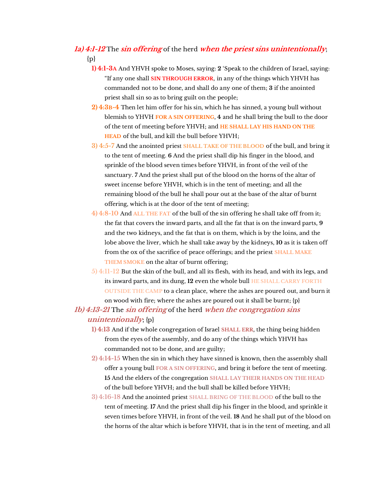# **1a) 4:1-12** The **sin offering** of the herd **when the priest sins unintentionally**;  $\{p\}$

- **1) 4:1-3A** And YHVH spoke to Moses, saying: **2** 'Speak to the children of Israel, saying: "If any one shall **SIN THROUGH ERROR**, in any of the things which YHVH has commanded not to be done, and shall do any one of them; **3** if the anointed priest shall sin so as to bring guilt on the people;
- **2) 4:3B-4** Then let him offer for his sin, which he has sinned, a young bull without blemish to YHVH **FOR A SIN OFFERING**, **4** and he shall bring the bull to the door of the tent of meeting before YHVH; and **HE SHALL LAY HIS HAND ON THE HEAD** of the bull, and kill the bull before YHVH;
- **3) 4:5-7** And the anointed priest **SHALL TAKE OF THE BLOOD** of the bull, and bring it to the tent of meeting. **6** And the priest shall dip his finger in the blood, and sprinkle of the blood seven times before YHVH, in front of the veil of the sanctuary. **7** And the priest shall put of the blood on the horns of the altar of sweet incense before YHVH, which is in the tent of meeting; and all the remaining blood of the bull he shall pour out at the base of the altar of burnt offering, which is at the door of the tent of meeting;
- **4) 4:8-10** And **ALL THE FAT** of the bull of the sin offering he shall take off from it; the fat that covers the inward parts, and all the fat that is on the inward parts, **9** and the two kidneys, and the fat that is on them, which is by the loins, and the lobe above the liver, which he shall take away by the kidneys, **10** as it is taken off from the ox of the sacrifice of peace offerings; and the priest **SHALL MAKE THEM SMOKE** on the altar of burnt offering;
- **5) 4:11-12** But the skin of the bull, and all its flesh, with its head, and with its legs, and its inward parts, and its dung, **12** even the whole bull **HE SHALL CARRY FORTH OUTSIDE THE CAMP** to a clean place, where the ashes are poured out, and burn it on wood with fire; where the ashes are poured out it shall be burnt; {p}
- **1b) 4:13-21** The **sin offering** of the herd **when the congregation sins unintentionally**; {p}
	- **1) 4:13** And if the whole congregation of Israel **SHALL ERR**, the thing being hidden from the eyes of the assembly, and do any of the things which YHVH has commanded not to be done, and are guilty;
	- **2) 4:14-15** When the sin in which they have sinned is known, then the assembly shall offer a young bull **FOR A SIN OFFERING**, and bring it before the tent of meeting. **15** And the elders of the congregation **SHALL LAY THEIR HANDS ON THE HEAD** of the bull before YHVH; and the bull shall be killed before YHVH;
	- **3) 4:16-18** And the anointed priest **SHALL BRING OF THE BLOOD** of the bull to the tent of meeting. **17** And the priest shall dip his finger in the blood, and sprinkle it seven times before YHVH, in front of the veil. **18** And he shall put of the blood on the horns of the altar which is before YHVH, that is in the tent of meeting, and all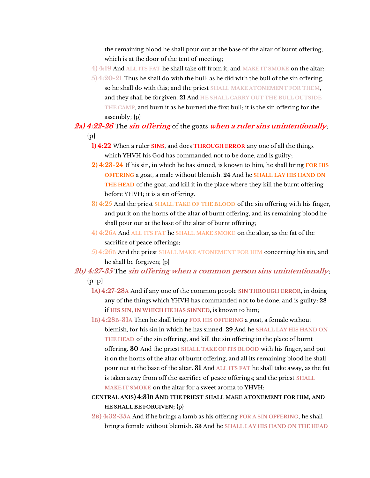the remaining blood he shall pour out at the base of the altar of burnt offering, which is at the door of the tent of meeting;

**4) 4:19** And **ALL ITS FAT** he shall take off from it, and **MAKE IT SMOKE** on the altar;

**5) 4:20-21** Thus he shall do with the bull; as he did with the bull of the sin offering, so he shall do with this; and the priest **SHALL MAKE ATONEMENT FOR THEM**, and they shall be forgiven. **21** And **HE SHALL CARRY OUT THE BULL OUTSIDE THE CAMP**, and burn it as he burned the first bull; it is the sin offering for the assembly; {p}

# **2a) 4:22-26** The **sin offering** of the goats **when a ruler sins unintentionally**;  $\{p\}$

- **1) 4:22** When a ruler **SINS**, and does **THROUGH ERROR** any one of all the things which YHVH his God has commanded not to be done, and is guilty;
- **2) 4:23-24** If his sin, in which he has sinned, is known to him, he shall bring **FOR HIS OFFERING** a goat, a male without blemish. **24** And he **SHALL LAY HIS HAND ON THE HEAD** of the goat, and kill it in the place where they kill the burnt offering before YHVH; it is a sin offering.
- **3) 4:25** And the priest **SHALL TAKE OF THE BLOOD** of the sin offering with his finger, and put it on the horns of the altar of burnt offering, and its remaining blood he shall pour out at the base of the altar of burnt offering;
- **4) 4:26A** And **ALL ITS FAT** he **SHALL MAKE SMOKE** on the altar, as the fat of the sacrifice of peace offerings;
- **5) 4:26B** And the priest **SHALL MAKE ATONEMENT FOR HIM** concerning his sin, and he shall be forgiven; {p}

# **2b) 4:27-35** The **sin offering when a common person sins unintentionally**;  ${p+p}$

- **1A) 4:27-28A** And if any one of the common people **SIN THROUGH ERROR**, in doing any of the things which YHVH has commanded not to be done, and is guilty: **28** if **HIS SIN**, **IN WHICH HE HAS SINNED**, is known to him;
- **1B) 4:28B-31A** Then he shall bring **FOR HIS OFFERING** a goat, a female without blemish, for his sin in which he has sinned. **29** And he **SHALL LAY HIS HAND ON THE HEAD** of the sin offering, and kill the sin offering in the place of burnt offering. **30** And the priest **SHALL TAKE OF ITS BLOOD** with his finger, and put it on the horns of the altar of burnt offering, and all its remaining blood he shall pour out at the base of the altar. **31** And **ALL ITS FAT** he shall take away, as the fat is taken away from off the sacrifice of peace offerings; and the priest **SHALL MAKE IT SMOKE** on the altar for a sweet aroma to YHVH;
- **CENTRAL AXIS) 4:31B AND THE PRIEST SHALL MAKE ATONEMENT FOR HIM**, **AND HE SHALL BE FORGIVEN**; {p}
- **2B) 4:32-35A** And if he brings a lamb as his offering **FOR A SIN OFFERING**, he shall bring a female without blemish. **33** And he **SHALL LAY HIS HAND ON THE HEAD**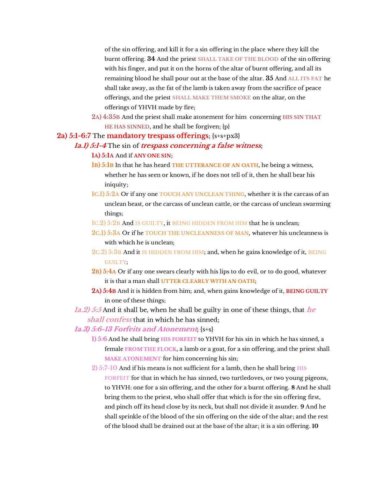of the sin offering, and kill it for a sin offering in the place where they kill the burnt offering. **34** And the priest **SHALL TAKE OF THE BLOOD** of the sin offering with his finger, and put it on the horns of the altar of burnt offering, and all its remaining blood he shall pour out at the base of the altar. **35** And **ALL ITS FAT** he shall take away, as the fat of the lamb is taken away from the sacrifice of peace offerings, and the priest **SHALL MAKE THEM SMOKE** on the altar, on the offerings of YHVH made by fire;

**2A) 4:35B** And the priest shall make atonement for him concerning **HIS SIN THAT HE HAS SINNED**, and he shall be forgiven; {p}

#### **2a) 5:1-6:7** The **mandatory trespass offerings**; {s+s+px3}

#### **1a.1) 5:1-4** The sin of **trespass concerning a false witness**;

#### **1A) 5:1A** And if **ANY ONE SIN**;

- **1B) 5:1B** In that he has heard **THE UTTERANCE OF AN OATH**, he being a witness, whether he has seen or known, if he does not tell of it, then he shall bear his iniquity;
- **1C.1) 5:2A** Or if any one **TOUCH ANY UNCLEAN THING**, whether it is the carcass of an unclean beast, or the carcass of unclean cattle, or the carcass of unclean swarming things;
- **1C.2) 5:2B** And **IS GUILTY**, it **BEING HIDDEN FROM HIM** that he is unclean;
- **2C.1) 5:3A** Or if he **TOUCH THE UNCLEANNESS OF MAN**, whatever his uncleanness is with which he is unclean;
- **2C.2) 5:3B** And it **IS HIDDEN FROM HIM**; and, when he gains knowledge of it, **BEING GUILTY**;
- **2B) 5:4A** Or if any one swears clearly with his lips to do evil, or to do good, whatever it is that a man shall **UTTER CLEARLY WITH AN OATH**;
- **2A) 5:4B** And it is hidden from him; and, when gains knowledge of it, **BEING GUILTY** in one of these things;

**1a.2) 5:5** And it shall be, when he shall be guilty in one of these things, that **he shall confess** that in which he has sinned;

## **1a.3) 5:6-13 Forfeits and Atonement**; {s+s}

**1) 5:6** And he shall bring **HIS FORFEIT** to YHVH for his sin in which he has sinned, a female **FROM THE FLOCK**, a lamb or a goat, for a sin offering, and the priest shall **MAKE ATONEMENT** for him concerning his sin;

**2) 5:7-10** And if his means is not sufficient for a lamb, then he shall bring **HIS FORFEIT** for that in which he has sinned, two turtledoves, or two young pigeons, to YHVH: one for a sin offering, and the other for a burnt offering. **8** And he shall bring them to the priest, who shall offer that which is for the sin offering first, and pinch off its head close by its neck, but shall not divide it asunder. **9** And he shall sprinkle of the blood of the sin offering on the side of the altar; and the rest of the blood shall be drained out at the base of the altar; it is a sin offering. **10**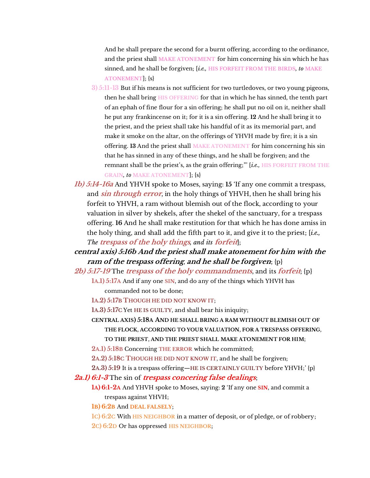And he shall prepare the second for a burnt offering, according to the ordinance, and the priest shall **MAKE ATONEMENT** for him concerning his sin which he has sinned, and he shall be forgiven; [*i.e.,* **HIS FORFEIT FROM THE BIRDS***, to* **MAKE ATONEMENT**]; {s}

- **3) 5:11-13** But if his means is not sufficient for two turtledoves, or two young pigeons, then he shall bring **HIS OFFERING** for that in which he has sinned, the tenth part of an ephah of fine flour for a sin offering; he shall put no oil on it, neither shall he put any frankincense on it; for it is a sin offering. **12** And he shall bring it to the priest, and the priest shall take his handful of it as its memorial part, and make it smoke on the altar, on the offerings of YHVH made by fire; it is a sin offering. **13** And the priest shall **MAKE ATONEMENT** for him concerning his sin that he has sinned in any of these things, and he shall be forgiven; and the remnant shall be the priest's, as the grain offering;" [i.e., **HIS FORFEIT FROM THE GRAIN***, to* **MAKE ATONEMENT**]; {s}
- **1b) 5:14-16a** And YHVH spoke to Moses, saying: **15** 'If any one commit a trespass, and **sin through error**, in the holy things of YHVH, then he shall bring his forfeit to YHVH, a ram without blemish out of the flock, according to your valuation in silver by shekels, after the shekel of the sanctuary, for a trespass offering. **16** And he shall make restitution for that which he has done amiss in the holy thing, and shall add the fifth part to it, and give it to the priest; [*i.e., The* **trespass of the holy things***, and its* **forfeit**];

**central axis) 5:16b And the priest shall make atonement for him with the ram of the trespass offering**, **and he shall be forgiven**; {p}

**2b) 5:17-19** The **trespass of the holy commandments**, and its **forfeit**; {p}

**1A.1) 5:17A** And if any one **SIN**, and do any of the things which YHVH has commanded not to be done;

- **1A.2) 5:17B THOUGH HE DID NOT KNOW IT**;
- **1A.3) 5:17C** Yet **HE IS GUILTY**, and shall bear his iniquity;

**CENTRAL AXIS) 5:18A AND HE SHALL BRING A RAM WITHOUT BLEMISH OUT OF THE FLOCK**, **ACCORDING TO YOUR VALUATION**, **FOR A TRESPASS OFFERING**, **TO THE PRIEST**, **AND THE PRIEST SHALL MAKE ATONEMENT FOR HIM**;

- **2A.1) 5:18B** Concerning **THE ERROR** which he committed;
- **2A.2) 5:18C THOUGH HE DID NOT KNOW IT**, and he shall be forgiven;

**2A.3) 5:19** It is a trespass offering—**HE IS CERTAINLY GUILTY** before YHVH;' {p} **2a.1) 6:1-3** The sin of **trespass concering false dealings**;

- **1A) 6:1-2A** And YHVH spoke to Moses, saying: **2** 'If any one **SIN**, and commit a trespass against YHVH;
- **1B) 6:2B** And **DEAL FALSELY**;
- **1C) 6:2C** With **HIS NEIGHBOR** in a matter of deposit, or of pledge, or of robbery;
- **2C) 6:2D** Or has oppressed **HIS NEIGHBOR**;